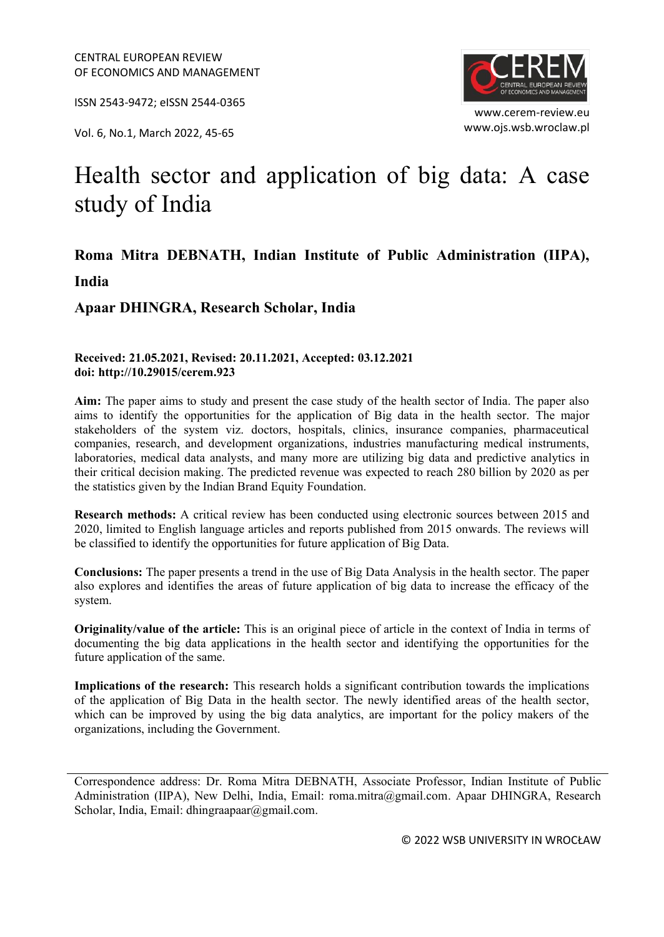ISSN 2543-9472; eISSN 2544-0365

www.ojs.wsb.wroclaw.pl Vol. 6, No.1, March 2022, 45-65



www.cerem-review.eu

# Health sector and application of big data: A case study of India

## **Roma Mitra DEBNATH, Indian Institute of Public Administration (IIPA), India**

**Apaar DHINGRA, Research Scholar, India**

#### **Received: 21.05.2021, Revised: 20.11.2021, Accepted: 03.12.2021 doi: http://10.29015/cerem.923**

**Aim:** The paper aims to study and present the case study of the health sector of India. The paper also aims to identify the opportunities for the application of Big data in the health sector. The major stakeholders of the system viz. doctors, hospitals, clinics, insurance companies, pharmaceutical companies, research, and development organizations, industries manufacturing medical instruments, laboratories, medical data analysts, and many more are utilizing big data and predictive analytics in their critical decision making. The predicted revenue was expected to reach 280 billion by 2020 as per the statistics given by the Indian Brand Equity Foundation.

**Research methods:** A critical review has been conducted using electronic sources between 2015 and 2020, limited to English language articles and reports published from 2015 onwards. The reviews will be classified to identify the opportunities for future application of Big Data.

**Conclusions:** The paper presents a trend in the use of Big Data Analysis in the health sector. The paper also explores and identifies the areas of future application of big data to increase the efficacy of the system.

**Originality/value of the article:** This is an original piece of article in the context of India in terms of documenting the big data applications in the health sector and identifying the opportunities for the future application of the same.

**Implications of the research:** This research holds a significant contribution towards the implications of the application of Big Data in the health sector. The newly identified areas of the health sector, which can be improved by using the big data analytics, are important for the policy makers of the organizations, including the Government.

Correspondence address: Dr. Roma Mitra DEBNATH, Associate Professor, Indian Institute of Public Administration (IIPA), New Delhi, India, Email: roma.mitra@gmail.com. Apaar DHINGRA, Research Scholar, India, Email: dhingraapaar@gmail.com.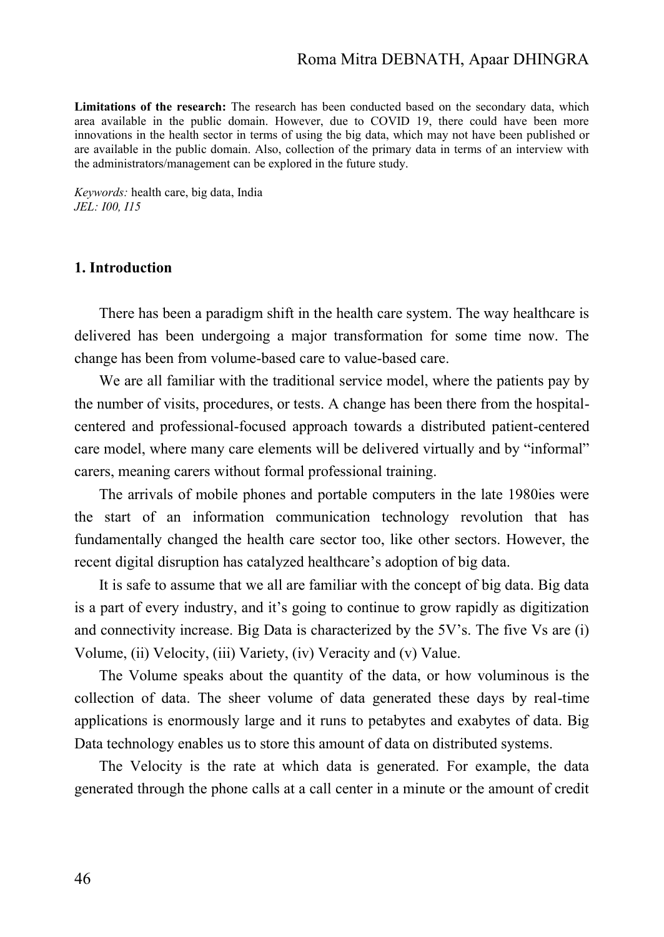## Roma Mitra DEBNATH, Apaar DHINGRA

**Limitations of the research:** The research has been conducted based on the secondary data, which area available in the public domain. However, due to COVID 19, there could have been more innovations in the health sector in terms of using the big data, which may not have been published or are available in the public domain. Also, collection of the primary data in terms of an interview with the administrators/management can be explored in the future study.

*Keywords:* health care, big data, India *JEL: I00, I15*

## **1. Introduction**

There has been a paradigm shift in the health care system. The way healthcare is delivered has been undergoing a major transformation for some time now. The change has been from volume-based care to value-based care.

We are all familiar with the traditional service model, where the patients pay by the number of visits, procedures, or tests. A change has been there from the hospitalcentered and professional-focused approach towards a distributed patient-centered care model, where many care elements will be delivered virtually and by "informal" carers, meaning carers without formal professional training.

The arrivals of mobile phones and portable computers in the late 1980ies were the start of an information communication technology revolution that has fundamentally changed the health care sector too, like other sectors. However, the recent digital disruption has catalyzed healthcare's adoption of big data.

It is safe to assume that we all are familiar with the concept of big data. Big data is a part of every industry, and it's going to continue to grow rapidly as digitization and connectivity increase. Big Data is characterized by the 5V's. The five Vs are (i) Volume, (ii) Velocity, (iii) Variety, (iv) Veracity and (v) Value.

The Volume speaks about the quantity of the data, or how voluminous is the collection of data. The sheer volume of data generated these days by real-time applications is enormously large and it runs to petabytes and exabytes of data. Big Data technology enables us to store this amount of data on distributed systems.

The Velocity is the rate at which data is generated. For example, the data generated through the phone calls at a call center in a minute or the amount of credit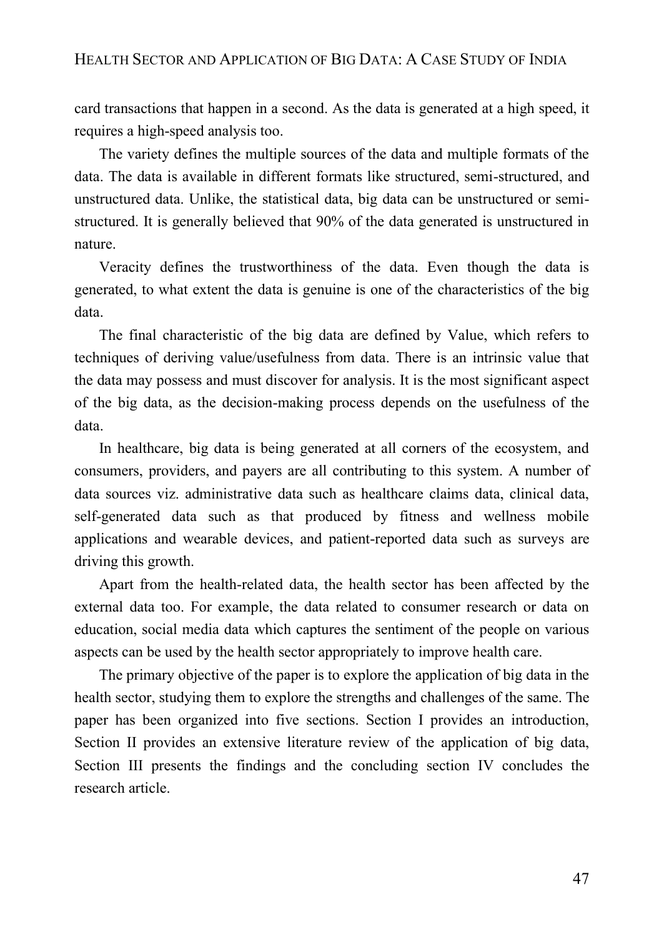card transactions that happen in a second. As the data is generated at a high speed, it requires a high-speed analysis too.

The variety defines the multiple sources of the data and multiple formats of the data. The data is available in different formats like structured, semi-structured, and unstructured data. Unlike, the statistical data, big data can be unstructured or semistructured. It is generally believed that 90% of the data generated is unstructured in nature.

Veracity defines the trustworthiness of the data. Even though the data is generated, to what extent the data is genuine is one of the characteristics of the big data.

The final characteristic of the big data are defined by Value, which refers to techniques of deriving value/usefulness from data. There is an intrinsic value that the data may possess and must discover for analysis. It is the most significant aspect of the big data, as the decision-making process depends on the usefulness of the data.

In healthcare, big data is being generated at all corners of the ecosystem, and consumers, providers, and payers are all contributing to this system. A number of data sources viz. administrative data such as healthcare claims data, clinical data, self-generated data such as that produced by fitness and wellness mobile applications and wearable devices, and patient-reported data such as surveys are driving this growth.

Apart from the health-related data, the health sector has been affected by the external data too. For example, the data related to consumer research or data on education, social media data which captures the sentiment of the people on various aspects can be used by the health sector appropriately to improve health care.

The primary objective of the paper is to explore the application of big data in the health sector, studying them to explore the strengths and challenges of the same. The paper has been organized into five sections. Section I provides an introduction, Section II provides an extensive literature review of the application of big data, Section III presents the findings and the concluding section IV concludes the research article.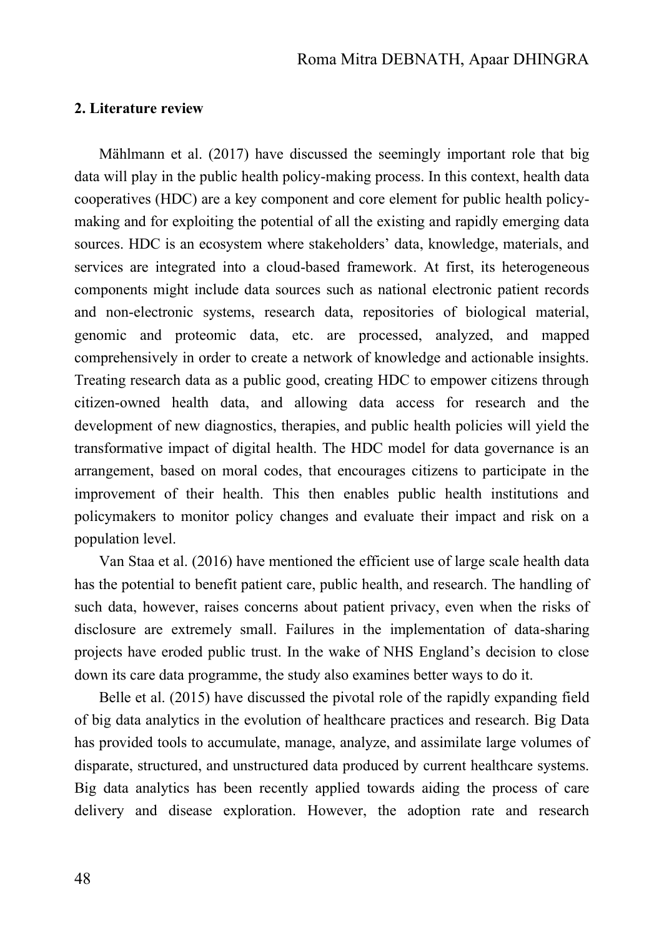## **2. Literature review**

Mählmann et al. (2017) have discussed the seemingly important role that big data will play in the public health policy-making process. In this context, health data cooperatives (HDC) are a key component and core element for public health policymaking and for exploiting the potential of all the existing and rapidly emerging data sources. HDC is an ecosystem where stakeholders' data, knowledge, materials, and services are integrated into a cloud-based framework. At first, its heterogeneous components might include data sources such as national electronic patient records and non-electronic systems, research data, repositories of biological material, genomic and proteomic data, etc. are processed, analyzed, and mapped comprehensively in order to create a network of knowledge and actionable insights. Treating research data as a public good, creating HDC to empower citizens through citizen-owned health data, and allowing data access for research and the development of new diagnostics, therapies, and public health policies will yield the transformative impact of digital health. The HDC model for data governance is an arrangement, based on moral codes, that encourages citizens to participate in the improvement of their health. This then enables public health institutions and policymakers to monitor policy changes and evaluate their impact and risk on a population level.

Van Staa et al. (2016) have mentioned the efficient use of large scale health data has the potential to benefit patient care, public health, and research. The handling of such data, however, raises concerns about patient privacy, even when the risks of disclosure are extremely small. Failures in the implementation of data-sharing projects have eroded public trust. In the wake of NHS England's decision to close down its care data programme, the study also examines better ways to do it.

Belle et al. (2015) have discussed the pivotal role of the rapidly expanding field of big data analytics in the evolution of healthcare practices and research. Big Data has provided tools to accumulate, manage, analyze, and assimilate large volumes of disparate, structured, and unstructured data produced by current healthcare systems. Big data analytics has been recently applied towards aiding the process of care delivery and disease exploration. However, the adoption rate and research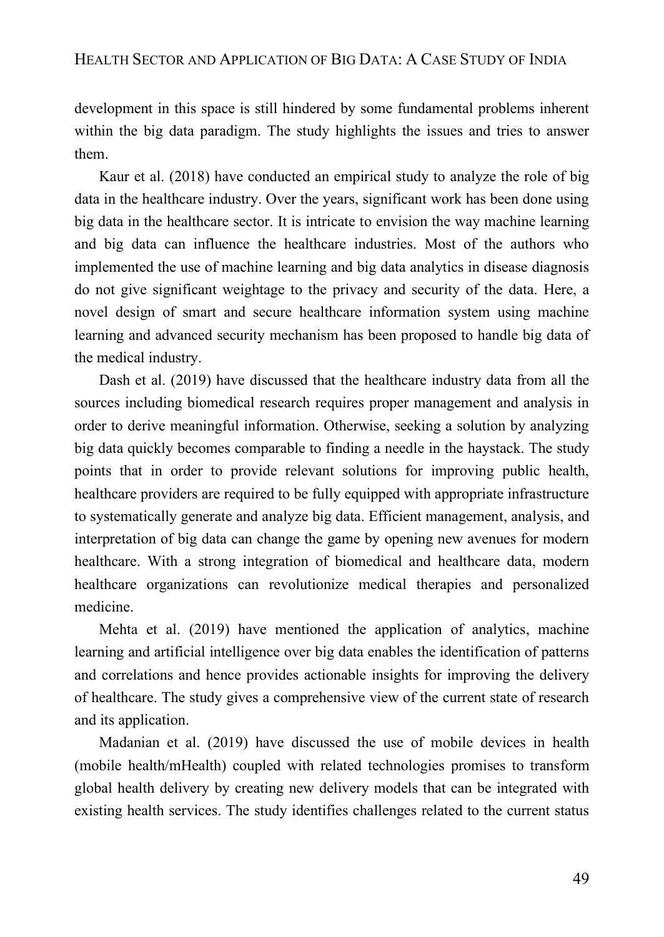development in this space is still hindered by some fundamental problems inherent within the big data paradigm. The study highlights the issues and tries to answer them.

Kaur et al. (2018) have conducted an empirical study to analyze the role of big data in the healthcare industry. Over the years, significant work has been done using big data in the healthcare sector. It is intricate to envision the way machine learning and big data can influence the healthcare industries. Most of the authors who implemented the use of machine learning and big data analytics in disease diagnosis do not give significant weightage to the privacy and security of the data. Here, a novel design of smart and secure healthcare information system using machine learning and advanced security mechanism has been proposed to handle big data of the medical industry.

Dash et al. (2019) have discussed that the healthcare industry data from all the sources including biomedical research requires proper management and analysis in order to derive meaningful information. Otherwise, seeking a solution by analyzing big data quickly becomes comparable to finding a needle in the haystack. The study points that in order to provide relevant solutions for improving public health, healthcare providers are required to be fully equipped with appropriate infrastructure to systematically generate and analyze big data. Efficient management, analysis, and interpretation of big data can change the game by opening new avenues for modern healthcare. With a strong integration of biomedical and healthcare data, modern healthcare organizations can revolutionize medical therapies and personalized medicine.

Mehta et al. (2019) have mentioned the application of analytics, machine learning and artificial intelligence over big data enables the identification of patterns and correlations and hence provides actionable insights for improving the delivery of healthcare. The study gives a comprehensive view of the current state of research and its application.

Madanian et al. (2019) have discussed the use of mobile devices in health (mobile health/mHealth) coupled with related technologies promises to transform global health delivery by creating new delivery models that can be integrated with existing health services. The study identifies challenges related to the current status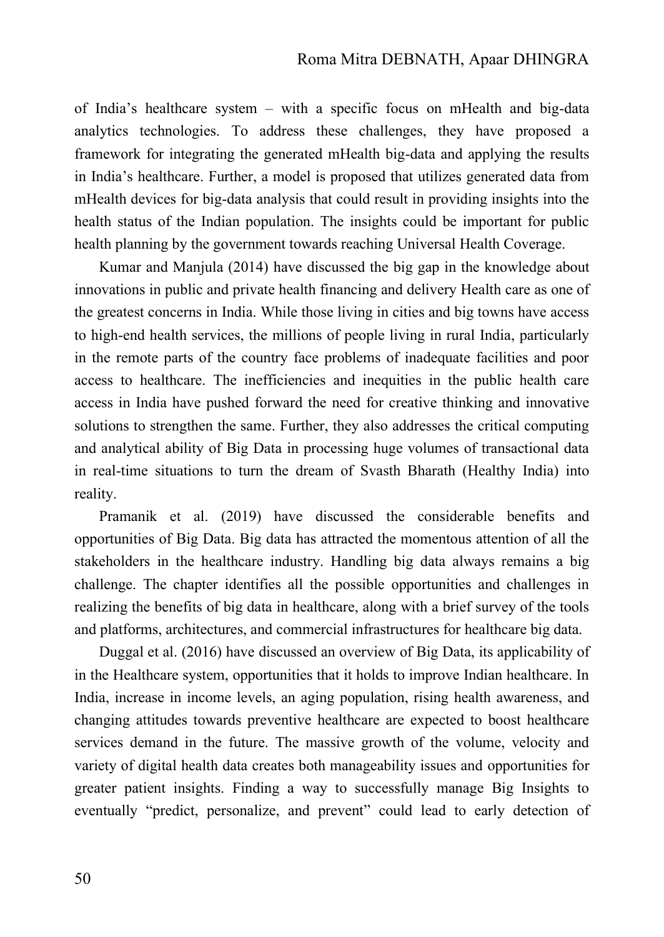of India's healthcare system – with a specific focus on mHealth and big-data analytics technologies. To address these challenges, they have proposed a framework for integrating the generated mHealth big-data and applying the results in India's healthcare. Further, a model is proposed that utilizes generated data from mHealth devices for big-data analysis that could result in providing insights into the health status of the Indian population. The insights could be important for public health planning by the government towards reaching Universal Health Coverage.

Kumar and Manjula (2014) have discussed the big gap in the knowledge about innovations in public and private health financing and delivery Health care as one of the greatest concerns in India. While those living in cities and big towns have access to high-end health services, the millions of people living in rural India, particularly in the remote parts of the country face problems of inadequate facilities and poor access to healthcare. The inefficiencies and inequities in the public health care access in India have pushed forward the need for creative thinking and innovative solutions to strengthen the same. Further, they also addresses the critical computing and analytical ability of Big Data in processing huge volumes of transactional data in real-time situations to turn the dream of Svasth Bharath (Healthy India) into reality.

Pramanik et al. (2019) have discussed the considerable benefits and opportunities of Big Data. Big data has attracted the momentous attention of all the stakeholders in the healthcare industry. Handling big data always remains a big challenge. The chapter identifies all the possible opportunities and challenges in realizing the benefits of big data in healthcare, along with a brief survey of the tools and platforms, architectures, and commercial infrastructures for healthcare big data.

Duggal et al. (2016) have discussed an overview of Big Data, its applicability of in the Healthcare system, opportunities that it holds to improve Indian healthcare. In India, increase in income levels, an aging population, rising health awareness, and changing attitudes towards preventive healthcare are expected to boost healthcare services demand in the future. The massive growth of the volume, velocity and variety of digital health data creates both manageability issues and opportunities for greater patient insights. Finding a way to successfully manage Big Insights to eventually "predict, personalize, and prevent" could lead to early detection of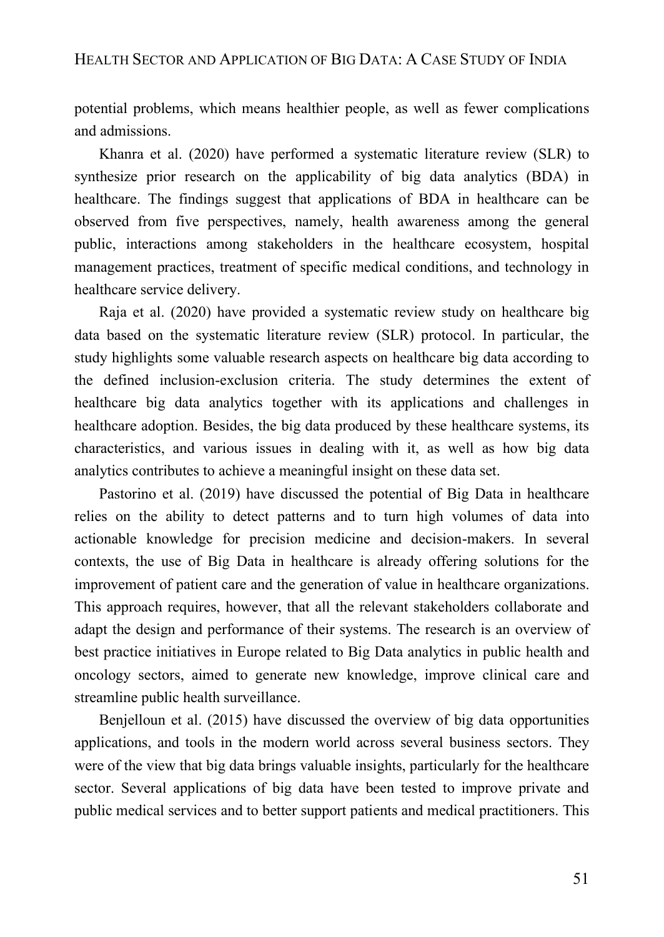## HEALTH SECTOR AND APPLICATION OF BIG DATA: A CASE STUDY OF INDIA

potential problems, which means healthier people, as well as fewer complications and admissions.

Khanra et al. (2020) have performed a systematic literature review (SLR) to synthesize prior research on the applicability of big data analytics (BDA) in healthcare. The findings suggest that applications of BDA in healthcare can be observed from five perspectives, namely, health awareness among the general public, interactions among stakeholders in the healthcare ecosystem, hospital management practices, treatment of specific medical conditions, and technology in healthcare service delivery.

Raja et al. (2020) have provided a systematic review study on healthcare big data based on the systematic literature review (SLR) protocol. In particular, the study highlights some valuable research aspects on healthcare big data according to the defined inclusion-exclusion criteria. The study determines the extent of healthcare big data analytics together with its applications and challenges in healthcare adoption. Besides, the big data produced by these healthcare systems, its characteristics, and various issues in dealing with it, as well as how big data analytics contributes to achieve a meaningful insight on these data set.

Pastorino et al. (2019) have discussed the potential of Big Data in healthcare relies on the ability to detect patterns and to turn high volumes of data into actionable knowledge for precision medicine and decision-makers. In several contexts, the use of Big Data in healthcare is already offering solutions for the improvement of patient care and the generation of value in healthcare organizations. This approach requires, however, that all the relevant stakeholders collaborate and adapt the design and performance of their systems. The research is an overview of best practice initiatives in Europe related to Big Data analytics in public health and oncology sectors, aimed to generate new knowledge, improve clinical care and streamline public health surveillance.

Benjelloun et al. (2015) have discussed the overview of big data opportunities applications, and tools in the modern world across several business sectors. They were of the view that big data brings valuable insights, particularly for the healthcare sector. Several applications of big data have been tested to improve private and public medical services and to better support patients and medical practitioners. This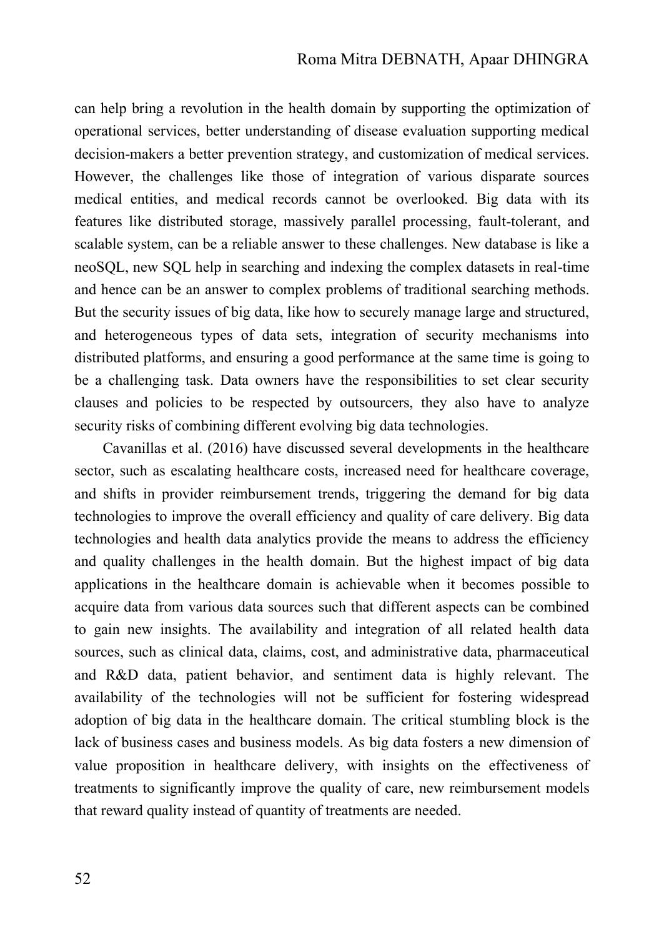can help bring a revolution in the health domain by supporting the optimization of operational services, better understanding of disease evaluation supporting medical decision-makers a better prevention strategy, and customization of medical services. However, the challenges like those of integration of various disparate sources medical entities, and medical records cannot be overlooked. Big data with its features like distributed storage, massively parallel processing, fault-tolerant, and scalable system, can be a reliable answer to these challenges. New database is like a neoSQL, new SQL help in searching and indexing the complex datasets in real-time and hence can be an answer to complex problems of traditional searching methods. But the security issues of big data, like how to securely manage large and structured, and heterogeneous types of data sets, integration of security mechanisms into distributed platforms, and ensuring a good performance at the same time is going to be a challenging task. Data owners have the responsibilities to set clear security clauses and policies to be respected by outsourcers, they also have to analyze security risks of combining different evolving big data technologies.

Cavanillas et al. (2016) have discussed several developments in the healthcare sector, such as escalating healthcare costs, increased need for healthcare coverage, and shifts in provider reimbursement trends, triggering the demand for big data technologies to improve the overall efficiency and quality of care delivery. Big data technologies and health data analytics provide the means to address the efficiency and quality challenges in the health domain. But the highest impact of big data applications in the healthcare domain is achievable when it becomes possible to acquire data from various data sources such that different aspects can be combined to gain new insights. The availability and integration of all related health data sources, such as clinical data, claims, cost, and administrative data, pharmaceutical and R&D data, patient behavior, and sentiment data is highly relevant. The availability of the technologies will not be sufficient for fostering widespread adoption of big data in the healthcare domain. The critical stumbling block is the lack of business cases and business models. As big data fosters a new dimension of value proposition in healthcare delivery, with insights on the effectiveness of treatments to significantly improve the quality of care, new reimbursement models that reward quality instead of quantity of treatments are needed.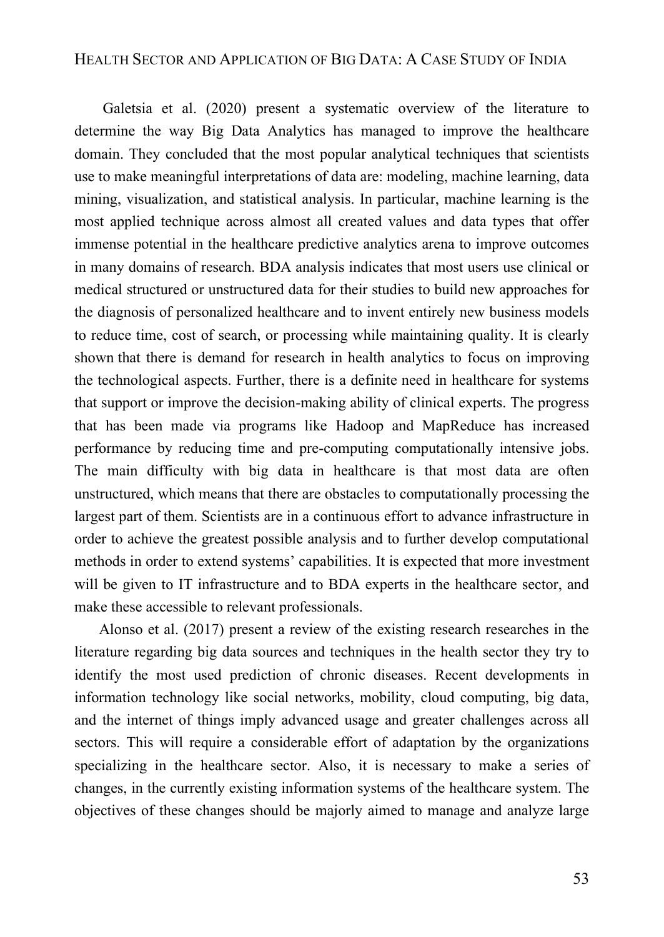## HEALTH SECTOR AND APPLICATION OF BIG DATA: A CASE STUDY OF INDIA

Galetsia et al. (2020) present a systematic overview of the literature to determine the way Big Data Analytics has managed to improve the healthcare domain. They concluded that the most popular analytical techniques that scientists use to make meaningful interpretations of data are: modeling, machine learning, data mining, visualization, and statistical analysis. In particular, machine learning is the most applied technique across almost all created values and data types that offer immense potential in the healthcare predictive analytics arena to improve outcomes in many domains of research. BDA analysis indicates that most users use clinical or medical structured or unstructured data for their studies to build new approaches for the diagnosis of personalized healthcare and to invent entirely new business models to reduce time, cost of search, or processing while maintaining quality. It is clearly shown that there is demand for research in health analytics to focus on improving the technological aspects. Further, there is a definite need in healthcare for systems that support or improve the decision-making ability of clinical experts. The progress that has been made via programs like Hadoop and MapReduce has increased performance by reducing time and pre-computing computationally intensive jobs. The main difficulty with big data in healthcare is that most data are often unstructured, which means that there are obstacles to computationally processing the largest part of them. Scientists are in a continuous effort to advance infrastructure in order to achieve the greatest possible analysis and to further develop computational methods in order to extend systems' capabilities. It is expected that more investment will be given to IT infrastructure and to BDA experts in the healthcare sector, and make these accessible to relevant professionals.

Alonso et al. (2017) present a review of the existing research researches in the literature regarding big data sources and techniques in the health sector they try to identify the most used prediction of chronic diseases. Recent developments in information technology like social networks, mobility, cloud computing, big data, and the internet of things imply advanced usage and greater challenges across all sectors. This will require a considerable effort of adaptation by the organizations specializing in the healthcare sector. Also, it is necessary to make a series of changes, in the currently existing information systems of the healthcare system. The objectives of these changes should be majorly aimed to manage and analyze large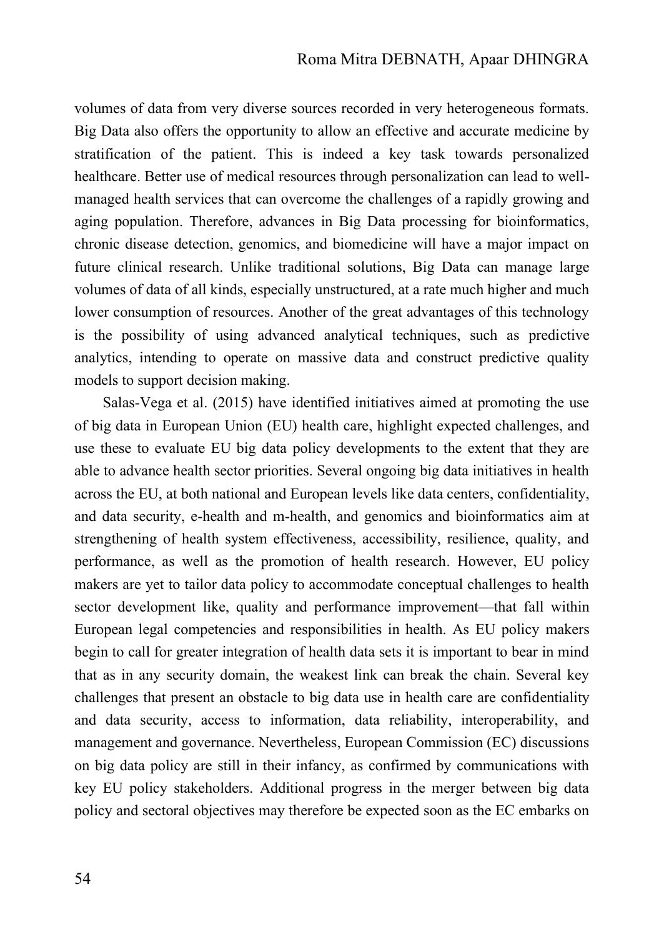volumes of data from very diverse sources recorded in very heterogeneous formats. Big Data also offers the opportunity to allow an effective and accurate medicine by stratification of the patient. This is indeed a key task towards personalized healthcare. Better use of medical resources through personalization can lead to wellmanaged health services that can overcome the challenges of a rapidly growing and aging population. Therefore, advances in Big Data processing for bioinformatics, chronic disease detection, genomics, and biomedicine will have a major impact on future clinical research. Unlike traditional solutions, Big Data can manage large volumes of data of all kinds, especially unstructured, at a rate much higher and much lower consumption of resources. Another of the great advantages of this technology is the possibility of using advanced analytical techniques, such as predictive analytics, intending to operate on massive data and construct predictive quality models to support decision making.

Salas-Vega et al. (2015) have identified initiatives aimed at promoting the use of big data in European Union (EU) health care, highlight expected challenges, and use these to evaluate EU big data policy developments to the extent that they are able to advance health sector priorities. Several ongoing big data initiatives in health across the EU, at both national and European levels like data centers, confidentiality, and data security, e-health and m-health, and genomics and bioinformatics aim at strengthening of health system effectiveness, accessibility, resilience, quality, and performance, as well as the promotion of health research. However, EU policy makers are yet to tailor data policy to accommodate conceptual challenges to health sector development like, quality and performance improvement—that fall within European legal competencies and responsibilities in health. As EU policy makers begin to call for greater integration of health data sets it is important to bear in mind that as in any security domain, the weakest link can break the chain. Several key challenges that present an obstacle to big data use in health care are confidentiality and data security, access to information, data reliability, interoperability, and management and governance. Nevertheless, European Commission (EC) discussions on big data policy are still in their infancy, as confirmed by communications with key EU policy stakeholders. Additional progress in the merger between big data policy and sectoral objectives may therefore be expected soon as the EC embarks on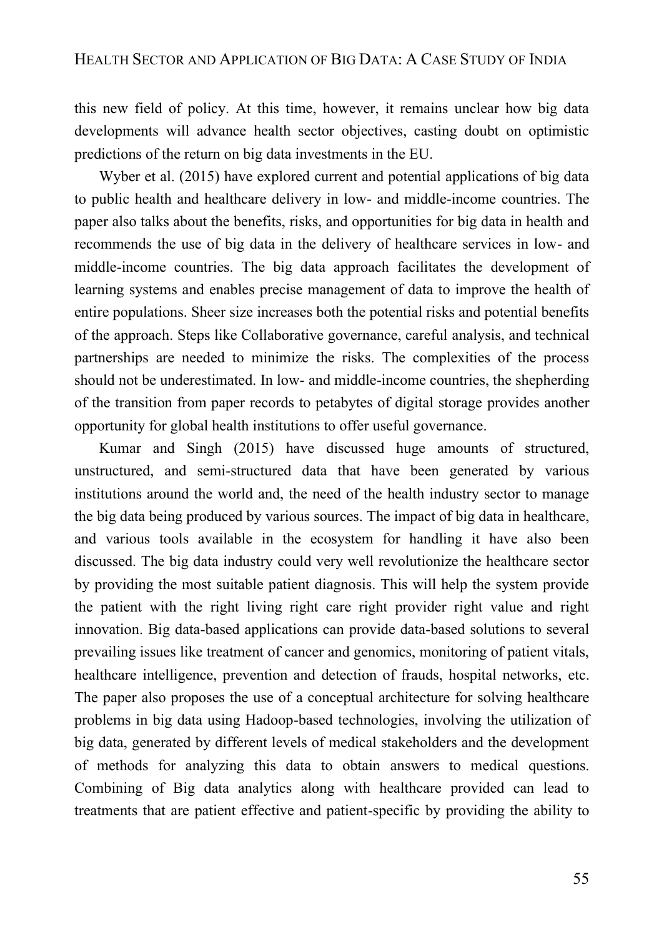this new field of policy. At this time, however, it remains unclear how big data developments will advance health sector objectives, casting doubt on optimistic predictions of the return on big data investments in the EU.

Wyber et al. (2015) have explored current and potential applications of big data to public health and healthcare delivery in low- and middle-income countries. The paper also talks about the benefits, risks, and opportunities for big data in health and recommends the use of big data in the delivery of healthcare services in low- and middle-income countries. The big data approach facilitates the development of learning systems and enables precise management of data to improve the health of entire populations. Sheer size increases both the potential risks and potential benefits of the approach. Steps like Collaborative governance, careful analysis, and technical partnerships are needed to minimize the risks. The complexities of the process should not be underestimated. In low- and middle-income countries, the shepherding of the transition from paper records to petabytes of digital storage provides another opportunity for global health institutions to offer useful governance.

Kumar and Singh (2015) have discussed huge amounts of structured, unstructured, and semi-structured data that have been generated by various institutions around the world and, the need of the health industry sector to manage the big data being produced by various sources. The impact of big data in healthcare, and various tools available in the ecosystem for handling it have also been discussed. The big data industry could very well revolutionize the healthcare sector by providing the most suitable patient diagnosis. This will help the system provide the patient with the right living right care right provider right value and right innovation. Big data-based applications can provide data-based solutions to several prevailing issues like treatment of cancer and genomics, monitoring of patient vitals, healthcare intelligence, prevention and detection of frauds, hospital networks, etc. The paper also proposes the use of a conceptual architecture for solving healthcare problems in big data using Hadoop-based technologies, involving the utilization of big data, generated by different levels of medical stakeholders and the development of methods for analyzing this data to obtain answers to medical questions. Combining of Big data analytics along with healthcare provided can lead to treatments that are patient effective and patient-specific by providing the ability to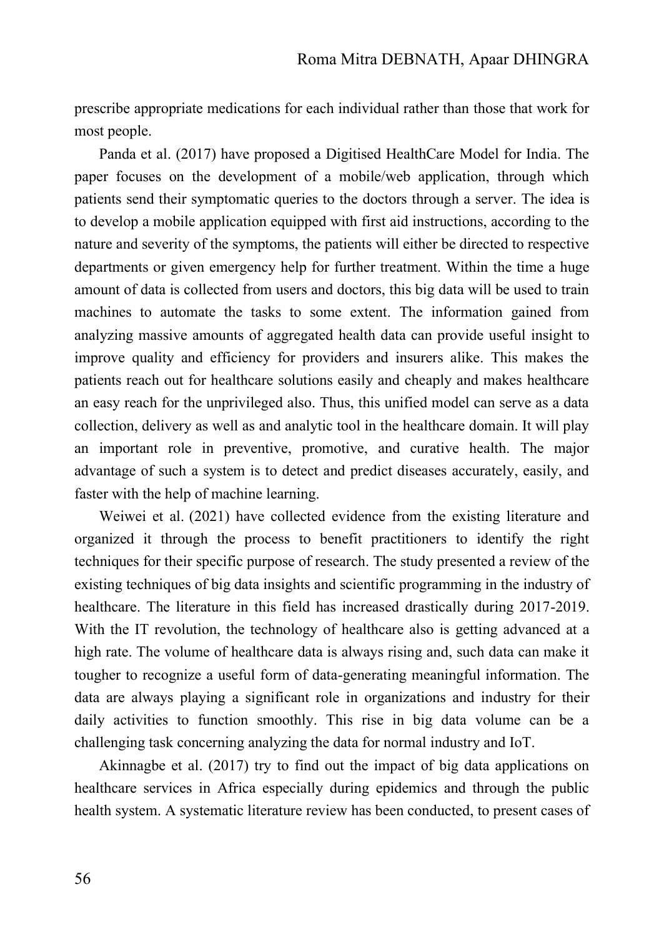prescribe appropriate medications for each individual rather than those that work for most people.

Panda et al. (2017) have proposed a Digitised HealthCare Model for India. The paper focuses on the development of a mobile/web application, through which patients send their symptomatic queries to the doctors through a server. The idea is to develop a mobile application equipped with first aid instructions, according to the nature and severity of the symptoms, the patients will either be directed to respective departments or given emergency help for further treatment. Within the time a huge amount of data is collected from users and doctors, this big data will be used to train machines to automate the tasks to some extent. The information gained from analyzing massive amounts of aggregated health data can provide useful insight to improve quality and efficiency for providers and insurers alike. This makes the patients reach out for healthcare solutions easily and cheaply and makes healthcare an easy reach for the unprivileged also. Thus, this unified model can serve as a data collection, delivery as well as and analytic tool in the healthcare domain. It will play an important role in preventive, promotive, and curative health. The major advantage of such a system is to detect and predict diseases accurately, easily, and faster with the help of machine learning.

Weiwei et al. (2021) have collected evidence from the existing literature and organized it through the process to benefit practitioners to identify the right techniques for their specific purpose of research. The study presented a review of the existing techniques of big data insights and scientific programming in the industry of healthcare. The literature in this field has increased drastically during 2017-2019. With the IT revolution, the technology of healthcare also is getting advanced at a high rate. The volume of healthcare data is always rising and, such data can make it tougher to recognize a useful form of data-generating meaningful information. The data are always playing a significant role in organizations and industry for their daily activities to function smoothly. This rise in big data volume can be a challenging task concerning analyzing the data for normal industry and IoT.

Akinnagbe et al. (2017) try to find out the impact of big data applications on healthcare services in Africa especially during epidemics and through the public health system. A systematic literature review has been conducted, to present cases of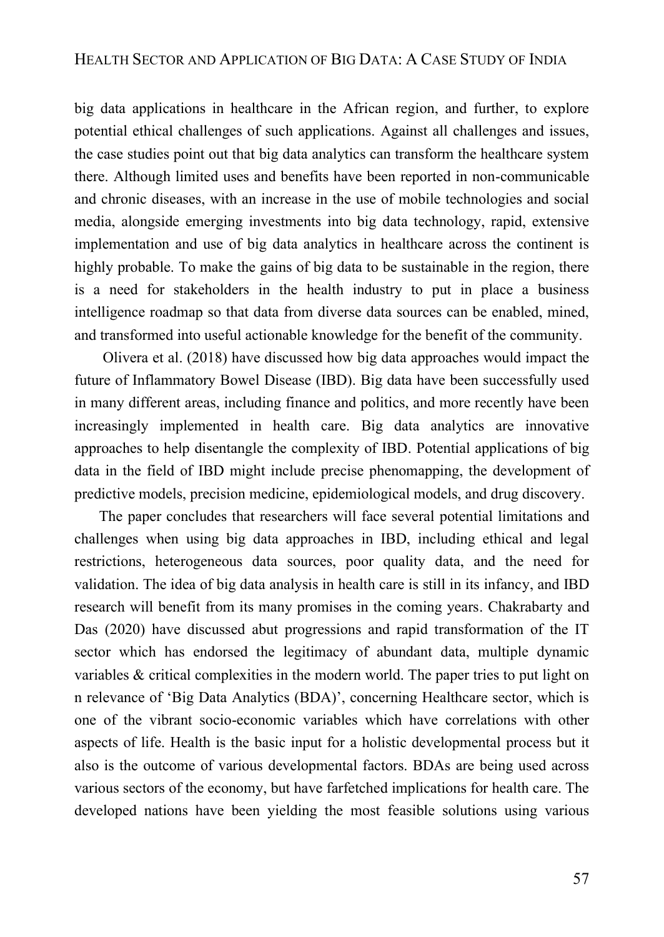big data applications in healthcare in the African region, and further, to explore potential ethical challenges of such applications. Against all challenges and issues, the case studies point out that big data analytics can transform the healthcare system there. Although limited uses and benefits have been reported in non-communicable and chronic diseases, with an increase in the use of mobile technologies and social media, alongside emerging investments into big data technology, rapid, extensive implementation and use of big data analytics in healthcare across the continent is highly probable. To make the gains of big data to be sustainable in the region, there is a need for stakeholders in the health industry to put in place a business intelligence roadmap so that data from diverse data sources can be enabled, mined, and transformed into useful actionable knowledge for the benefit of the community.

[Olivera](https://www.nature.com/articles/s41575-019-0102-5#auth-Pablo-Olivera) et al. (2018) have discussed how big data approaches would impact the future of Inflammatory Bowel Disease (IBD). Big data have been successfully used in many different areas, including finance and politics, and more recently have been increasingly implemented in health care. Big data analytics are innovative approaches to help disentangle the complexity of IBD. Potential applications of big data in the field of IBD might include precise phenomapping, the development of predictive models, precision medicine, epidemiological models, and drug discovery.

The paper concludes that researchers will face several potential limitations and challenges when using big data approaches in IBD, including ethical and legal restrictions, heterogeneous data sources, poor quality data, and the need for validation. The idea of big data analysis in health care is still in its infancy, and IBD research will benefit from its many promises in the coming years. [Chakrabarty](https://www.emerald.com/insight/search?q=Arindam%20Chakrabarty) and [Das](https://www.emerald.com/insight/search?q=Uday%20Sankar%20Das) (2020) have discussed abut progressions and rapid transformation of the IT sector which has endorsed the legitimacy of abundant data, multiple dynamic variables & critical complexities in the modern world. The paper tries to put light on n relevance of 'Big Data Analytics (BDA)', concerning Healthcare sector, which is one of the vibrant socio-economic variables which have correlations with other aspects of life. Health is the basic input for a holistic developmental process but it also is the outcome of various developmental factors. BDAs are being used across various sectors of the economy, but have farfetched implications for health care. The developed nations have been yielding the most feasible solutions using various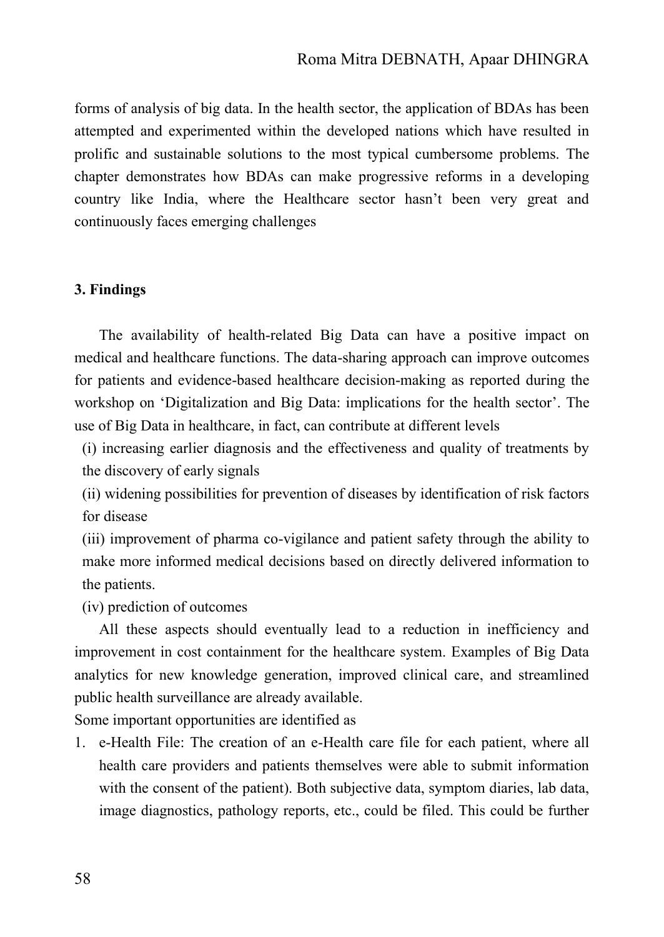forms of analysis of big data. In the health sector, the application of BDAs has been attempted and experimented within the developed nations which have resulted in prolific and sustainable solutions to the most typical cumbersome problems. The chapter demonstrates how BDAs can make progressive reforms in a developing country like India, where the Healthcare sector hasn't been very great and continuously faces emerging challenges

### **3. Findings**

The availability of health-related Big Data can have a positive impact on medical and healthcare functions. The data-sharing approach can improve outcomes for patients and evidence-based healthcare decision-making as reported during the workshop on 'Digitalization and Big Data: implications for the health sector'. The use of Big Data in healthcare, in fact, can contribute at different levels

(i) increasing earlier diagnosis and the effectiveness and quality of treatments by the discovery of early signals

(ii) widening possibilities for prevention of diseases by identification of risk factors for disease

(iii) improvement of pharma co-vigilance and patient safety through the ability to make more informed medical decisions based on directly delivered information to the patients.

(iv) prediction of outcomes

All these aspects should eventually lead to a reduction in inefficiency and improvement in cost containment for the healthcare system. Examples of Big Data analytics for new knowledge generation, improved clinical care, and streamlined public health surveillance are already available.

Some important opportunities are identified as

1. e-Health File: The creation of an e-Health care file for each patient, where all health care providers and patients themselves were able to submit information with the consent of the patient). Both subjective data, symptom diaries, lab data, image diagnostics, pathology reports, etc., could be filed. This could be further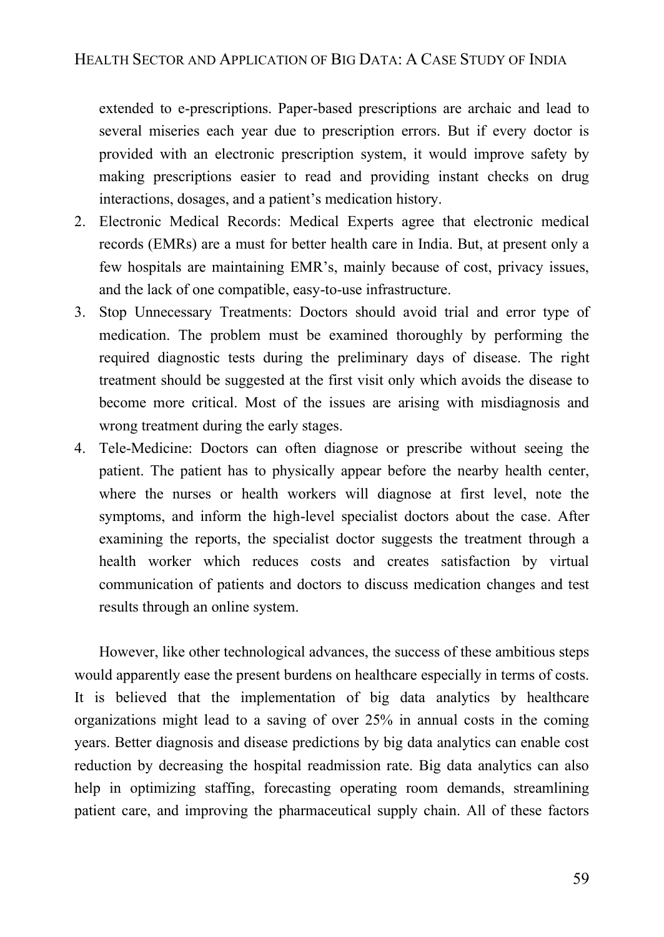extended to e-prescriptions. Paper-based prescriptions are archaic and lead to several miseries each year due to prescription errors. But if every doctor is provided with an electronic prescription system, it would improve safety by making prescriptions easier to read and providing instant checks on drug interactions, dosages, and a patient's medication history.

- 2. Electronic Medical Records: Medical Experts agree that electronic medical records (EMRs) are a must for better health care in India. But, at present only a few hospitals are maintaining EMR's, mainly because of cost, privacy issues, and the lack of one compatible, easy-to-use infrastructure.
- 3. Stop Unnecessary Treatments: Doctors should avoid trial and error type of medication. The problem must be examined thoroughly by performing the required diagnostic tests during the preliminary days of disease. The right treatment should be suggested at the first visit only which avoids the disease to become more critical. Most of the issues are arising with misdiagnosis and wrong treatment during the early stages.
- 4. Tele-Medicine: Doctors can often diagnose or prescribe without seeing the patient. The patient has to physically appear before the nearby health center, where the nurses or health workers will diagnose at first level, note the symptoms, and inform the high-level specialist doctors about the case. After examining the reports, the specialist doctor suggests the treatment through a health worker which reduces costs and creates satisfaction by virtual communication of patients and doctors to discuss medication changes and test results through an online system.

However, like other technological advances, the success of these ambitious steps would apparently ease the present burdens on healthcare especially in terms of costs. It is believed that the implementation of big data analytics by healthcare organizations might lead to a saving of over 25% in annual costs in the coming years. Better diagnosis and disease predictions by big data analytics can enable cost reduction by decreasing the hospital readmission rate. Big data analytics can also help in optimizing staffing, forecasting operating room demands, streamlining patient care, and improving the pharmaceutical supply chain. All of these factors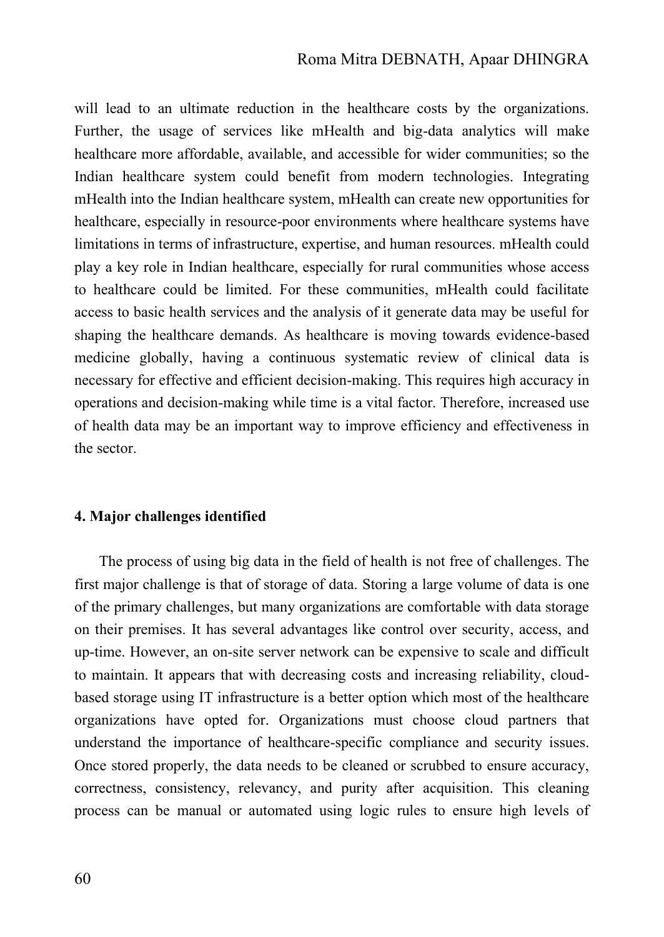will lead to an ultimate reduction in the healthcare costs by the organizations. Further, the usage of services like mHealth and big-data analytics will make healthcare more affordable, available, and accessible for wider communities; so the Indian healthcare system could benefit from modern technologies. Integrating mHealth into the Indian healthcare system, mHealth can create new opportunities for healthcare, especially in resource-poor environments where healthcare systems have limitations in terms of infrastructure, expertise, and human resources. mHealth could play a key role in Indian healthcare, especially for rural communities whose access to healthcare could be limited. For these communities, mHealth could facilitate access to basic health services and the analysis of it generate data may be useful for shaping the healthcare demands. As healthcare is moving towards evidence-based medicine globally, having a continuous systematic review of clinical data is necessary for effective and efficient decision-making. This requires high accuracy in operations and decision-making while time is a vital factor. Therefore, increased use of health data may be an important way to improve efficiency and effectiveness in the sector.

### **4. Major challenges identified**

The process of using big data in the field of health is not free of challenges. The first major challenge is that of storage of data. Storing a large volume of data is one of the primary challenges, but many organizations are comfortable with data storage on their premises. It has several advantages like control over security, access, and up-time. However, an on-site server network can be expensive to scale and difficult to maintain. It appears that with decreasing costs and increasing reliability, cloudbased storage using IT infrastructure is a better option which most of the healthcare organizations have opted for. Organizations must choose cloud partners that understand the importance of healthcare-specific compliance and security issues. Once stored properly, the data needs to be cleaned or scrubbed to ensure accuracy, correctness, consistency, relevancy, and purity after acquisition. This cleaning process can be manual or automated using logic rules to ensure high levels of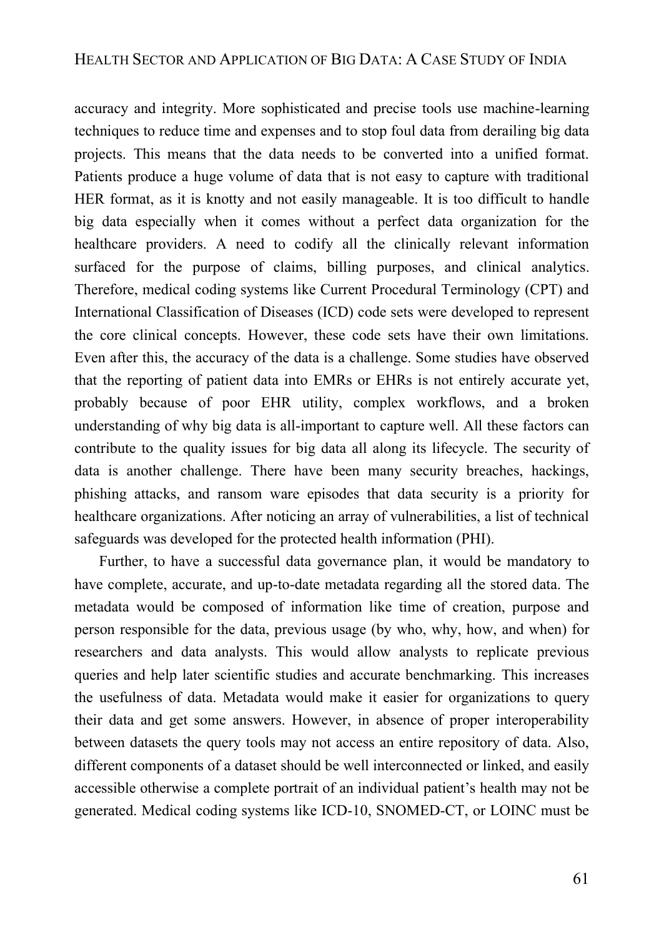accuracy and integrity. More sophisticated and precise tools use machine-learning techniques to reduce time and expenses and to stop foul data from derailing big data projects. This means that the data needs to be converted into a unified format. Patients produce a huge volume of data that is not easy to capture with traditional HER format, as it is knotty and not easily manageable. It is too difficult to handle big data especially when it comes without a perfect data organization for the healthcare providers. A need to codify all the clinically relevant information surfaced for the purpose of claims, billing purposes, and clinical analytics. Therefore, medical coding systems like Current Procedural Terminology (CPT) and International Classification of Diseases (ICD) code sets were developed to represent the core clinical concepts. However, these code sets have their own limitations. Even after this, the accuracy of the data is a challenge. Some studies have observed that the reporting of patient data into EMRs or EHRs is not entirely accurate yet, probably because of poor EHR utility, complex workflows, and a broken understanding of why big data is all-important to capture well. All these factors can contribute to the quality issues for big data all along its lifecycle. The security of data is another challenge. There have been many security breaches, hackings, phishing attacks, and ransom ware episodes that data security is a priority for healthcare organizations. After noticing an array of vulnerabilities, a list of technical safeguards was developed for the protected health information (PHI).

Further, to have a successful data governance plan, it would be mandatory to have complete, accurate, and up-to-date metadata regarding all the stored data. The metadata would be composed of information like time of creation, purpose and person responsible for the data, previous usage (by who, why, how, and when) for researchers and data analysts. This would allow analysts to replicate previous queries and help later scientific studies and accurate benchmarking. This increases the usefulness of data. Metadata would make it easier for organizations to query their data and get some answers. However, in absence of proper interoperability between datasets the query tools may not access an entire repository of data. Also, different components of a dataset should be well interconnected or linked, and easily accessible otherwise a complete portrait of an individual patient's health may not be generated. Medical coding systems like ICD-10, SNOMED-CT, or LOINC must be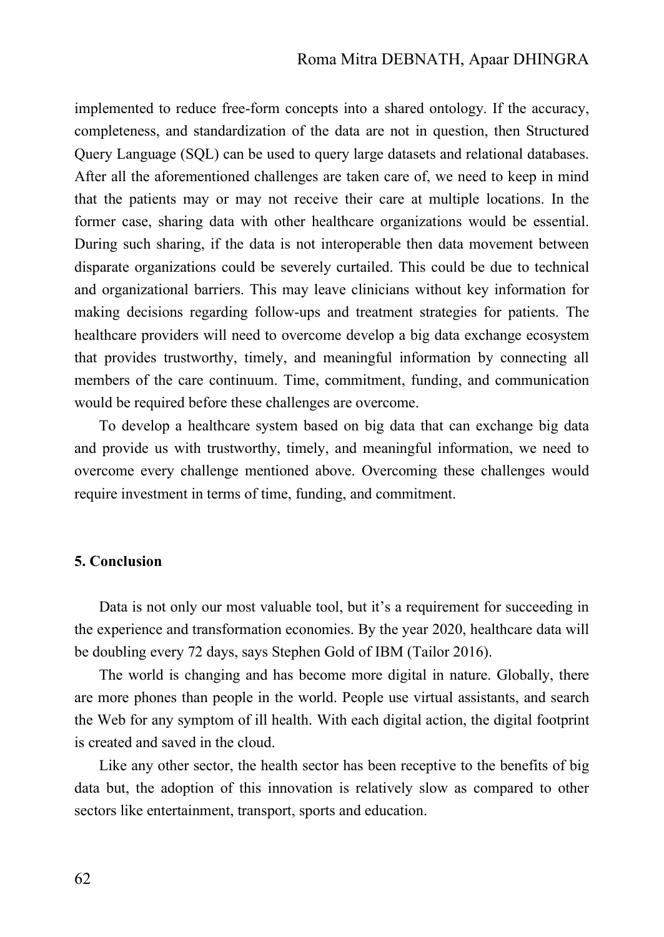implemented to reduce free-form concepts into a shared ontology. If the accuracy, completeness, and standardization of the data are not in question, then Structured Query Language (SQL) can be used to query large datasets and relational databases. After all the aforementioned challenges are taken care of, we need to keep in mind that the patients may or may not receive their care at multiple locations. In the former case, sharing data with other healthcare organizations would be essential. During such sharing, if the data is not interoperable then data movement between disparate organizations could be severely curtailed. This could be due to technical and organizational barriers. This may leave clinicians without key information for making decisions regarding follow-ups and treatment strategies for patients. The healthcare providers will need to overcome develop a big data exchange ecosystem that provides trustworthy, timely, and meaningful information by connecting all members of the care continuum. Time, commitment, funding, and communication would be required before these challenges are overcome.

To develop a healthcare system based on big data that can exchange big data and provide us with trustworthy, timely, and meaningful information, we need to overcome every challenge mentioned above. Overcoming these challenges would require investment in terms of time, funding, and commitment.

## **5. Conclusion**

Data is not only our most valuable tool, but it's a requirement for succeeding in the experience and transformation economies. By the year 2020, healthcare data will be doubling every 72 days, says Stephen Gold of IBM (Tailor 2016).

The world is changing and has become more digital in nature. Globally, there are more phones than people in the world. People use virtual assistants, and search the Web for any symptom of ill health. With each digital action, the digital footprint is created and saved in the cloud.

Like any other sector, the health sector has been receptive to the benefits of big data but, the adoption of this innovation is relatively slow as compared to other sectors like entertainment, transport, sports and education.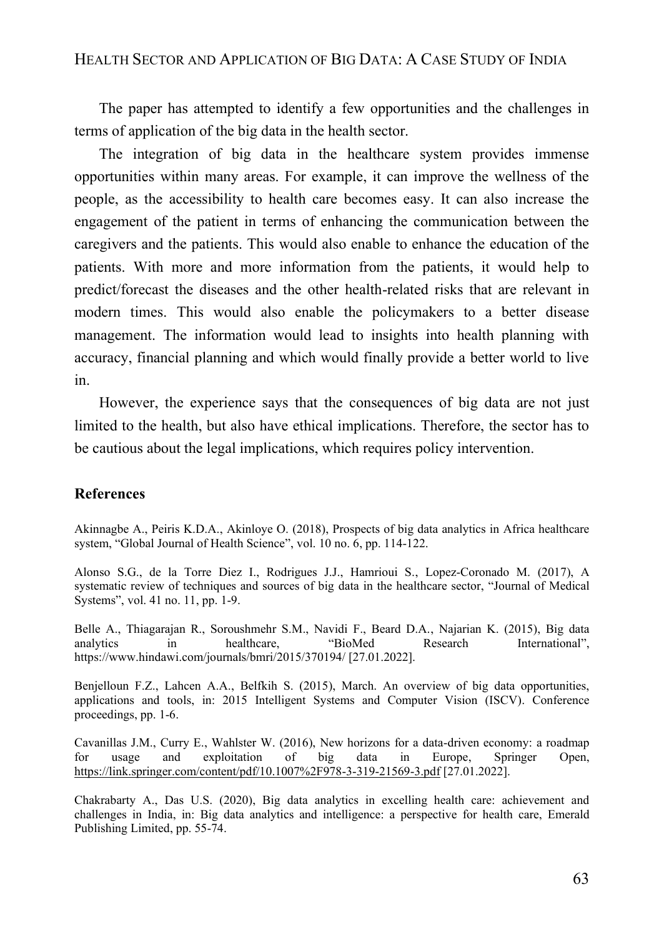The paper has attempted to identify a few opportunities and the challenges in terms of application of the big data in the health sector.

The integration of big data in the healthcare system provides immense opportunities within many areas. For example, it can improve the wellness of the people, as the accessibility to health care becomes easy. It can also increase the engagement of the patient in terms of enhancing the communication between the caregivers and the patients. This would also enable to enhance the education of the patients. With more and more information from the patients, it would help to predict/forecast the diseases and the other health-related risks that are relevant in modern times. This would also enable the policymakers to a better disease management. The information would lead to insights into health planning with accuracy, financial planning and which would finally provide a better world to live in.

However, the experience says that the consequences of big data are not just limited to the health, but also have ethical implications. Therefore, the sector has to be cautious about the legal implications, which requires policy intervention.

## **References**

Akinnagbe A., Peiris K.D.A., Akinloye O. (2018), Prospects of big data analytics in Africa healthcare system, "Global Journal of Health Science", vol. 10 no. 6, pp. 114-122.

Alonso S.G., de la Torre Diez I., Rodrigues J.J., Hamrioui S., Lopez-Coronado M. (2017), A systematic review of techniques and sources of big data in the healthcare sector, "Journal of Medical Systems", vol. 41 no. 11, pp. 1-9.

Belle A., Thiagarajan R., Soroushmehr S.M., Navidi F., Beard D.A., Najarian K. (2015), Big data analytics in healthcare, "BioMed Research International", https://www.hindawi.com/journals/bmri/2015/370194/ [27.01.2022].

Benjelloun F.Z., Lahcen A.A., Belfkih S. (2015), March. An overview of big data opportunities, applications and tools, in: 2015 Intelligent Systems and Computer Vision (ISCV). Conference proceedings, pp. 1-6.

Cavanillas J.M., Curry E., Wahlster W. (2016), New horizons for a data-driven economy: a roadmap for usage and exploitation of big data in Europe, Springer Open, <https://link.springer.com/content/pdf/10.1007%2F978-3-319-21569-3.pdf> [27.01.2022].

Chakrabarty A., Das U.S. (2020), Big data analytics in excelling health care: achievement and challenges in India, in: Big data analytics and intelligence: a perspective for health care, Emerald Publishing Limited, pp. 55-74.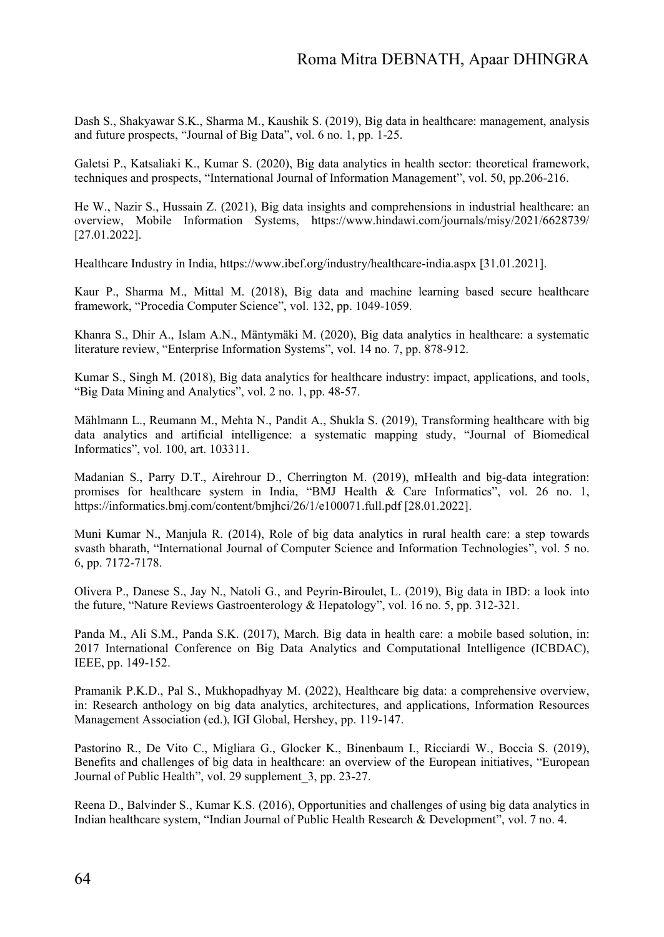Dash S., Shakyawar S.K., Sharma M., Kaushik S. (2019), Big data in healthcare: management, analysis and future prospects, "Journal of Big Data", vol. 6 no. 1, pp. 1-25.

Galetsi P., Katsaliaki K., Kumar S. (2020), Big data analytics in health sector: theoretical framework, techniques and prospects, "International Journal of Information Management", vol. 50, pp.206-216.

He W., Nazir S., Hussain Z. (2021), Big data insights and comprehensions in industrial healthcare: an overview, Mobile Information Systems, https://www.hindawi.com/journals/misy/2021/6628739/ [27.01.2022].

Healthcare Industry in India, https://www.ibef.org/industry/healthcare-india.aspx [31.01.2021].

Kaur P., Sharma M., Mittal M. (2018), Big data and machine learning based secure healthcare framework, "Procedia Computer Science", vol. 132, pp. 1049-1059.

Khanra S., Dhir A., Islam A.N., Mäntymäki M. (2020), Big data analytics in healthcare: a systematic literature review, "Enterprise Information Systems", vol. 14 no. 7, pp. 878-912.

Kumar S., Singh M. (2018), Big data analytics for healthcare industry: impact, applications, and tools, "Big Data Mining and Analytics", vol. 2 no. 1, pp. 48-57.

Mählmann L., Reumann M., Mehta N., Pandit A., Shukla S. (2019), Transforming healthcare with big data analytics and artificial intelligence: a systematic mapping study, "Journal of Biomedical Informatics", vol. 100, art. 103311.

Madanian S., Parry D.T., Airehrour D., Cherrington M. (2019), mHealth and big-data integration: promises for healthcare system in India, "BMJ Health & Care Informatics", vol. 26 no. 1, https://informatics.bmj.com/content/bmjhci/26/1/e100071.full.pdf [28.01.2022].

Muni Kumar N., Manjula R. (2014), Role of big data analytics in rural health care: a step towards svasth bharath, "International Journal of Computer Science and Information Technologies", vol. 5 no. 6, pp. 7172-7178.

Olivera P., Danese S., Jay N., Natoli G., and Peyrin-Biroulet, L. (2019), Big data in IBD: a look into the future, "Nature Reviews Gastroenterology & Hepatology", vol. 16 no. 5, pp. 312-321.

Panda M., Ali S.M., Panda S.K. (2017), March. Big data in health care: a mobile based solution, in: 2017 International Conference on Big Data Analytics and Computational Intelligence (ICBDAC), IEEE, pp. 149-152.

Pramanik P.K.D., Pal S., Mukhopadhyay M. (2022), Healthcare big data: a comprehensive overview, in: Research anthology on big data analytics, architectures, and applications, Information Resources Management Association (ed.), IGI Global, Hershey, pp. 119-147.

Pastorino R., De Vito C., Migliara G., Glocker K., Binenbaum I., Ricciardi W., Boccia S. (2019), Benefits and challenges of big data in healthcare: an overview of the European initiatives, "European Journal of Public Health", vol. 29 supplement\_3, pp. 23-27.

Reena D., Balvinder S., Kumar K.S. (2016), Opportunities and challenges of using big data analytics in Indian healthcare system, "Indian Journal of Public Health Research & Development", vol. 7 no. 4.